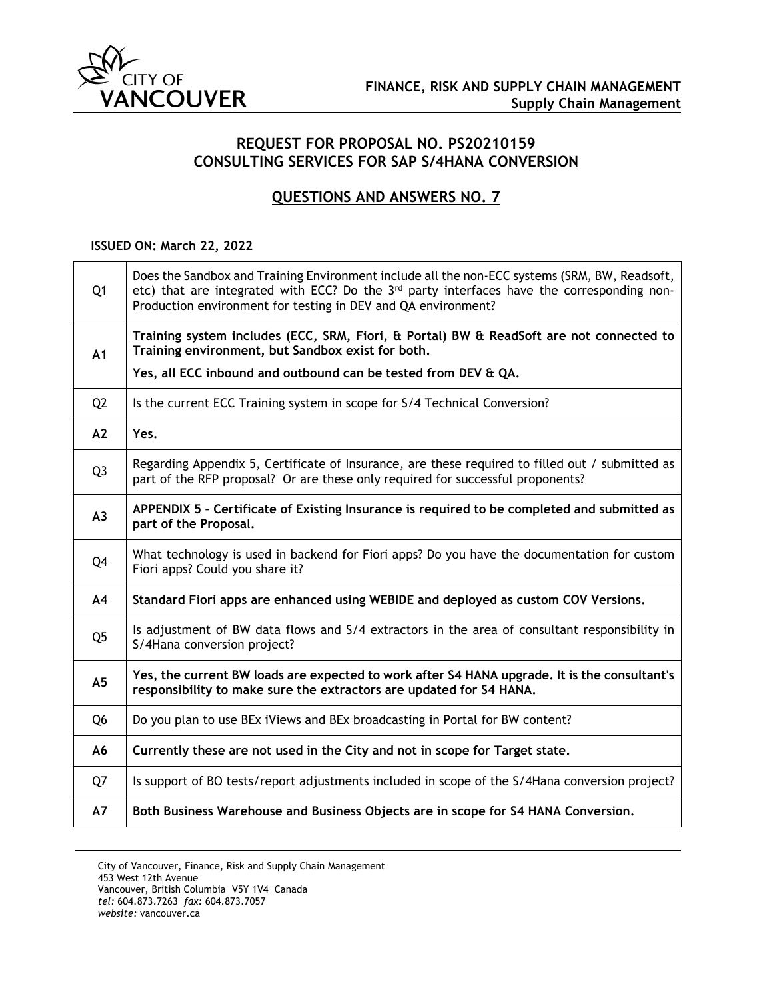

## **REQUEST FOR PROPOSAL NO. PS20210159 CONSULTING SERVICES FOR SAP S/4HANA CONVERSION**

## **QUESTIONS AND ANSWERS NO. 7**

## **ISSUED ON: March 22, 2022**

| Q <sub>1</sub> | Does the Sandbox and Training Environment include all the non-ECC systems (SRM, BW, Readsoft,<br>etc) that are integrated with ECC? Do the 3 <sup>rd</sup> party interfaces have the corresponding non-<br>Production environment for testing in DEV and QA environment? |
|----------------|--------------------------------------------------------------------------------------------------------------------------------------------------------------------------------------------------------------------------------------------------------------------------|
| A1             | Training system includes (ECC, SRM, Fiori, & Portal) BW & ReadSoft are not connected to<br>Training environment, but Sandbox exist for both.                                                                                                                             |
|                | Yes, all ECC inbound and outbound can be tested from DEV & QA.                                                                                                                                                                                                           |
| Q <sub>2</sub> | Is the current ECC Training system in scope for S/4 Technical Conversion?                                                                                                                                                                                                |
| A2             | Yes.                                                                                                                                                                                                                                                                     |
| Q <sub>3</sub> | Regarding Appendix 5, Certificate of Insurance, are these required to filled out / submitted as<br>part of the RFP proposal? Or are these only required for successful proponents?                                                                                       |
| A3             | APPENDIX 5 - Certificate of Existing Insurance is required to be completed and submitted as<br>part of the Proposal.                                                                                                                                                     |
| Q4             | What technology is used in backend for Fiori apps? Do you have the documentation for custom<br>Fiori apps? Could you share it?                                                                                                                                           |
| A4             | Standard Fiori apps are enhanced using WEBIDE and deployed as custom COV Versions.                                                                                                                                                                                       |
| Q <sub>5</sub> | Is adjustment of BW data flows and S/4 extractors in the area of consultant responsibility in<br>S/4Hana conversion project?                                                                                                                                             |
| A <sub>5</sub> | Yes, the current BW loads are expected to work after S4 HANA upgrade. It is the consultant's<br>responsibility to make sure the extractors are updated for S4 HANA.                                                                                                      |
| Q <sub>6</sub> | Do you plan to use BEx iViews and BEx broadcasting in Portal for BW content?                                                                                                                                                                                             |
| A6             | Currently these are not used in the City and not in scope for Target state.                                                                                                                                                                                              |
| Q7             | Is support of BO tests/report adjustments included in scope of the S/4Hana conversion project?                                                                                                                                                                           |
| <b>A7</b>      | Both Business Warehouse and Business Objects are in scope for S4 HANA Conversion.                                                                                                                                                                                        |

City of Vancouver, Finance, Risk and Supply Chain Management 453 West 12th Avenue Vancouver, British Columbia V5Y 1V4 Canada *tel:* 604.873.7263 *fax:* 604.873.7057 *website:* vancouver.ca